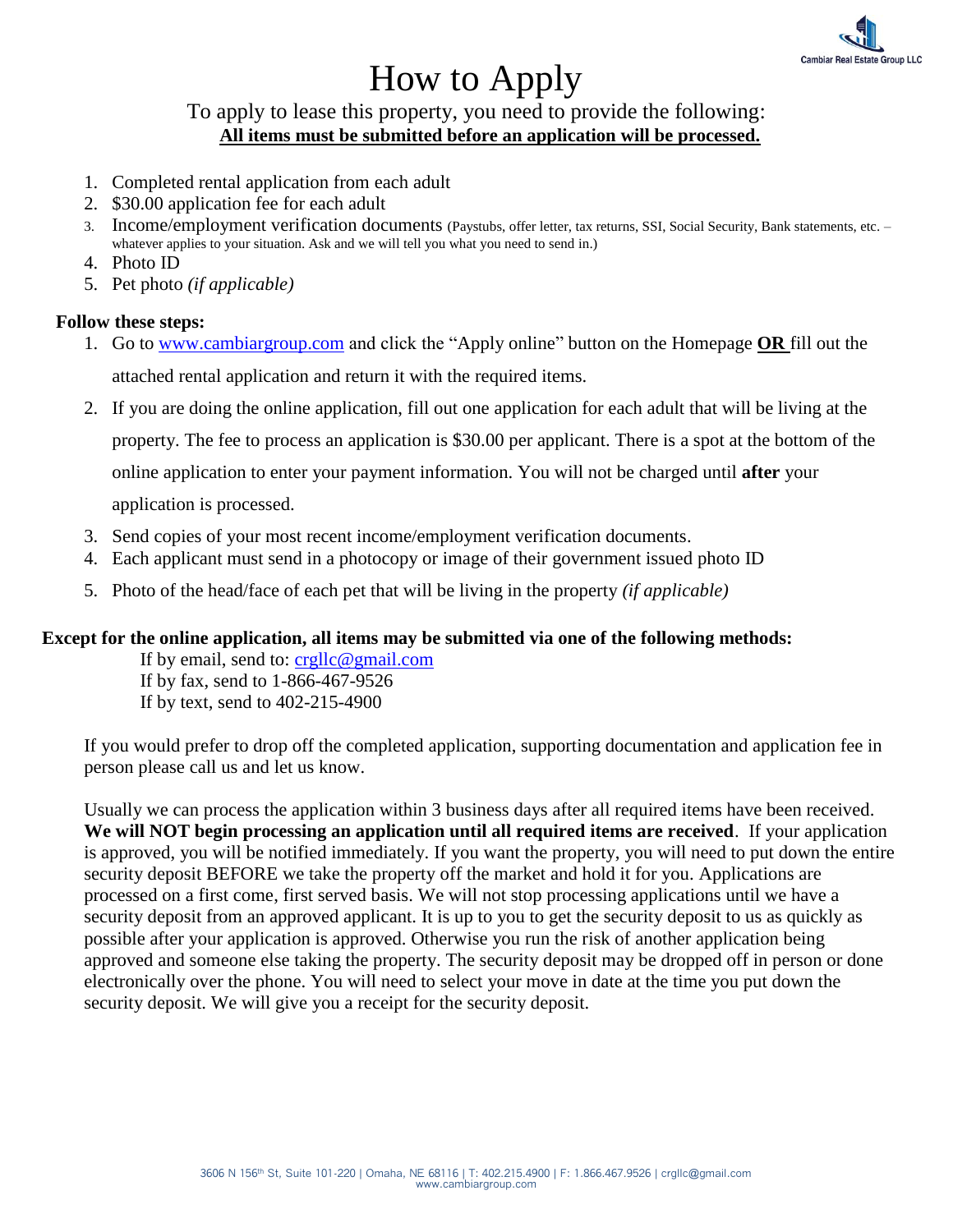

# How to Apply

To apply to lease this property, you need to provide the following: **All items must be submitted before an application will be processed.**

- 1. Completed rental application from each adult
- 2. \$30.00 application fee for each adult
- 3. Income/employment verification documents (Paystubs, offer letter, tax returns, SSI, Social Security, Bank statements, etc. whatever applies to your situation. Ask and we will tell you what you need to send in.)
- 4. Photo ID
- 5. Pet photo *(if applicable)*

## **Follow these steps:**

- 1. Go to [www.cambiargroup.com](http://www.cambiargroup.com/) and click the "Apply online" button on the Homepage **OR** fill out the attached rental application and return it with the required items.
- 2. If you are doing the online application, fill out one application for each adult that will be living at the property. The fee to process an application is \$30.00 per applicant. There is a spot at the bottom of the online application to enter your payment information. You will not be charged until **after** your

application is processed.

- 3. Send copies of your most recent income/employment verification documents.
- 4. Each applicant must send in a photocopy or image of their government issued photo ID
- 5. Photo of the head/face of each pet that will be living in the property *(if applicable)*

### **Except for the online application, all items may be submitted via one of the following methods:**

If by email, send to: [crgllc@gmail.com](mailto:crgllc@gmail.com) If by fax, send to 1-866-467-9526 If by text, send to 402-215-4900

If you would prefer to drop off the completed application, supporting documentation and application fee in person please call us and let us know.

Usually we can process the application within 3 business days after all required items have been received. **We will NOT begin processing an application until all required items are received**. If your application is approved, you will be notified immediately. If you want the property, you will need to put down the entire security deposit BEFORE we take the property off the market and hold it for you. Applications are processed on a first come, first served basis. We will not stop processing applications until we have a security deposit from an approved applicant. It is up to you to get the security deposit to us as quickly as possible after your application is approved. Otherwise you run the risk of another application being approved and someone else taking the property. The security deposit may be dropped off in person or done electronically over the phone. You will need to select your move in date at the time you put down the security deposit. We will give you a receipt for the security deposit.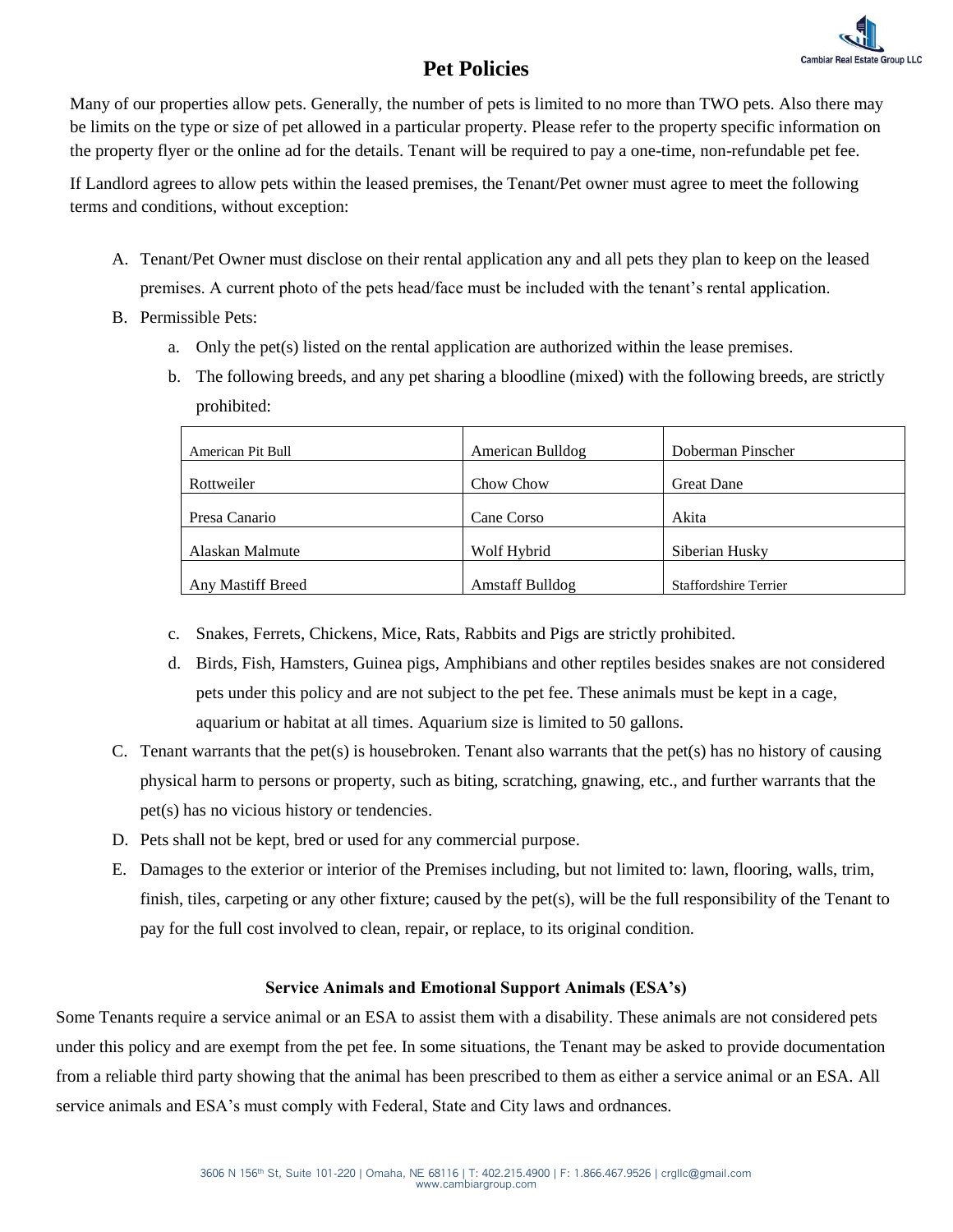

# **Pet Policies**

Many of our properties allow pets. Generally, the number of pets is limited to no more than TWO pets. Also there may be limits on the type or size of pet allowed in a particular property. Please refer to the property specific information on the property flyer or the online ad for the details. Tenant will be required to pay a one-time, non-refundable pet fee.

If Landlord agrees to allow pets within the leased premises, the Tenant/Pet owner must agree to meet the following terms and conditions, without exception:

- A. Tenant/Pet Owner must disclose on their rental application any and all pets they plan to keep on the leased premises. A current photo of the pets head/face must be included with the tenant's rental application.
- B. Permissible Pets:
	- a. Only the pet(s) listed on the rental application are authorized within the lease premises.
	- b. The following breeds, and any pet sharing a bloodline (mixed) with the following breeds, are strictly prohibited:

| American Pit Bull | American Bulldog       | Doberman Pinscher            |
|-------------------|------------------------|------------------------------|
| Rottweiler        | Chow Chow              | <b>Great Dane</b>            |
| Presa Canario     | Cane Corso             | Akita                        |
| Alaskan Malmute   | Wolf Hybrid            | Siberian Husky               |
| Any Mastiff Breed | <b>Amstaff Bulldog</b> | <b>Staffordshire Terrier</b> |

- c. Snakes, Ferrets, Chickens, Mice, Rats, Rabbits and Pigs are strictly prohibited.
- d. Birds, Fish, Hamsters, Guinea pigs, Amphibians and other reptiles besides snakes are not considered pets under this policy and are not subject to the pet fee. These animals must be kept in a cage, aquarium or habitat at all times. Aquarium size is limited to 50 gallons.
- C. Tenant warrants that the pet(s) is housebroken. Tenant also warrants that the pet(s) has no history of causing physical harm to persons or property, such as biting, scratching, gnawing, etc., and further warrants that the pet(s) has no vicious history or tendencies.
- D. Pets shall not be kept, bred or used for any commercial purpose.
- E. Damages to the exterior or interior of the Premises including, but not limited to: lawn, flooring, walls, trim, finish, tiles, carpeting or any other fixture; caused by the pet(s), will be the full responsibility of the Tenant to pay for the full cost involved to clean, repair, or replace, to its original condition.

### **Service Animals and Emotional Support Animals (ESA's)**

Some Tenants require a service animal or an ESA to assist them with a disability. These animals are not considered pets under this policy and are exempt from the pet fee. In some situations, the Tenant may be asked to provide documentation from a reliable third party showing that the animal has been prescribed to them as either a service animal or an ESA. All service animals and ESA's must comply with Federal, State and City laws and ordnances.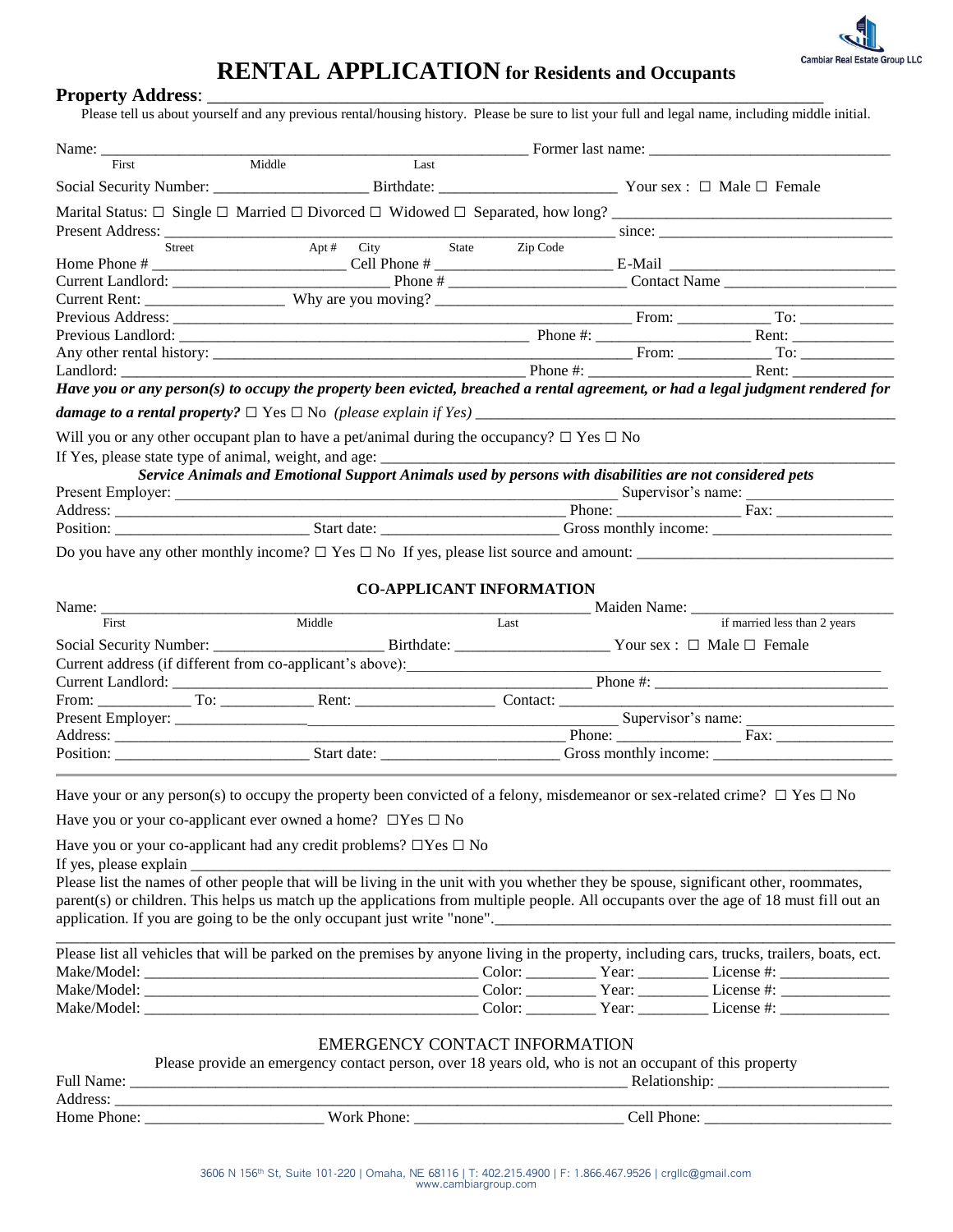

# **RENTAL APPLICATION for Residents and Occupants**

### Property Address:

Please tell us about yourself and any previous rental/housing history. Please be sure to list your full and legal name, including middle initial.

| First                          | Middle<br>Last                                                                                                                                                                                                                 |                                 |                              |  |
|--------------------------------|--------------------------------------------------------------------------------------------------------------------------------------------------------------------------------------------------------------------------------|---------------------------------|------------------------------|--|
|                                |                                                                                                                                                                                                                                |                                 |                              |  |
|                                |                                                                                                                                                                                                                                |                                 |                              |  |
|                                |                                                                                                                                                                                                                                |                                 |                              |  |
| Present Address:<br>Street     | Apt # $City$ State Zip Code                                                                                                                                                                                                    |                                 | since:                       |  |
|                                |                                                                                                                                                                                                                                |                                 |                              |  |
|                                |                                                                                                                                                                                                                                |                                 |                              |  |
|                                | Current Rent: Why are you moving?                                                                                                                                                                                              |                                 |                              |  |
|                                |                                                                                                                                                                                                                                |                                 |                              |  |
|                                |                                                                                                                                                                                                                                |                                 |                              |  |
|                                |                                                                                                                                                                                                                                |                                 |                              |  |
|                                |                                                                                                                                                                                                                                |                                 |                              |  |
|                                | Have you or any person(s) to occupy the property been evicted, breached a rental agreement, or had a legal judgment rendered for                                                                                               |                                 |                              |  |
|                                |                                                                                                                                                                                                                                |                                 |                              |  |
|                                | Will you or any other occupant plan to have a pet/animal during the occupancy? $\square$ Yes $\square$ No                                                                                                                      |                                 |                              |  |
|                                | If Yes, please state type of animal, weight, and age: ___________________________                                                                                                                                              |                                 |                              |  |
|                                | Service Animals and Emotional Support Animals used by persons with disabilities are not considered pets                                                                                                                        |                                 |                              |  |
|                                |                                                                                                                                                                                                                                |                                 |                              |  |
|                                |                                                                                                                                                                                                                                |                                 |                              |  |
|                                | Address: Position: Fax: Fax: Fax: Position: Fax: Position: Phone: Fax: Position: Position: Position: Position: Position: Position: Position: Position: Position: Position: Position: Position: Position: Position: Position: P |                                 |                              |  |
|                                | Do you have any other monthly income? $\square$ Yes $\square$ No If yes, please list source and amount:                                                                                                                        |                                 |                              |  |
|                                |                                                                                                                                                                                                                                |                                 |                              |  |
|                                |                                                                                                                                                                                                                                |                                 |                              |  |
|                                |                                                                                                                                                                                                                                | <b>CO-APPLICANT INFORMATION</b> |                              |  |
| Name: $\frac{\ }{\ }$<br>First | Middle                                                                                                                                                                                                                         | Last                            | if married less than 2 years |  |
|                                |                                                                                                                                                                                                                                |                                 |                              |  |
|                                | Social Security Number: ________________________________Birthdate: ________________________Your sex : □ Male □ Female                                                                                                          |                                 |                              |  |
|                                |                                                                                                                                                                                                                                |                                 |                              |  |
|                                |                                                                                                                                                                                                                                |                                 |                              |  |
|                                |                                                                                                                                                                                                                                |                                 |                              |  |
|                                |                                                                                                                                                                                                                                |                                 |                              |  |
|                                |                                                                                                                                                                                                                                |                                 |                              |  |
|                                |                                                                                                                                                                                                                                |                                 |                              |  |
|                                |                                                                                                                                                                                                                                |                                 |                              |  |
|                                | Have your or any person(s) to occupy the property been convicted of a felony, misdemeanor or sex-related crime? $\Box$ Yes $\Box$ No                                                                                           |                                 |                              |  |
|                                | Have you or your co-applicant ever owned a home? $\Box$ Yes $\Box$ No                                                                                                                                                          |                                 |                              |  |
|                                | Have you or your co-applicant had any credit problems? $\Box$ Yes $\Box$ No                                                                                                                                                    |                                 |                              |  |
|                                |                                                                                                                                                                                                                                |                                 |                              |  |
|                                |                                                                                                                                                                                                                                |                                 |                              |  |
|                                | parent(s) or children. This helps us match up the applications from multiple people. All occupants over the age of 18 must fill out an                                                                                         |                                 |                              |  |
|                                | application. If you are going to be the only occupant just write "none".<br>application. If you are going to be the only occupant just write "none".                                                                           |                                 |                              |  |
|                                |                                                                                                                                                                                                                                |                                 |                              |  |
|                                | Please list all vehicles that will be parked on the premises by anyone living in the property, including cars, trucks, trailers, boats, ect.                                                                                   |                                 |                              |  |
|                                |                                                                                                                                                                                                                                |                                 |                              |  |
|                                |                                                                                                                                                                                                                                |                                 |                              |  |
|                                |                                                                                                                                                                                                                                |                                 |                              |  |
|                                |                                                                                                                                                                                                                                |                                 |                              |  |
|                                | <b>EMERGENCY CONTACT INFORMATION</b>                                                                                                                                                                                           |                                 |                              |  |
|                                | Please provide an emergency contact person, over 18 years old, who is not an occupant of this property                                                                                                                         |                                 |                              |  |
| Full Name:                     |                                                                                                                                                                                                                                |                                 |                              |  |

| Address.<br>$\overline{\phantom{a}}$ |        | ______<br>________________<br>________ |
|--------------------------------------|--------|----------------------------------------|
| Home                                 | ork    | TIOHE.                                 |
| Phone:                               | TIOHE. | ---                                    |